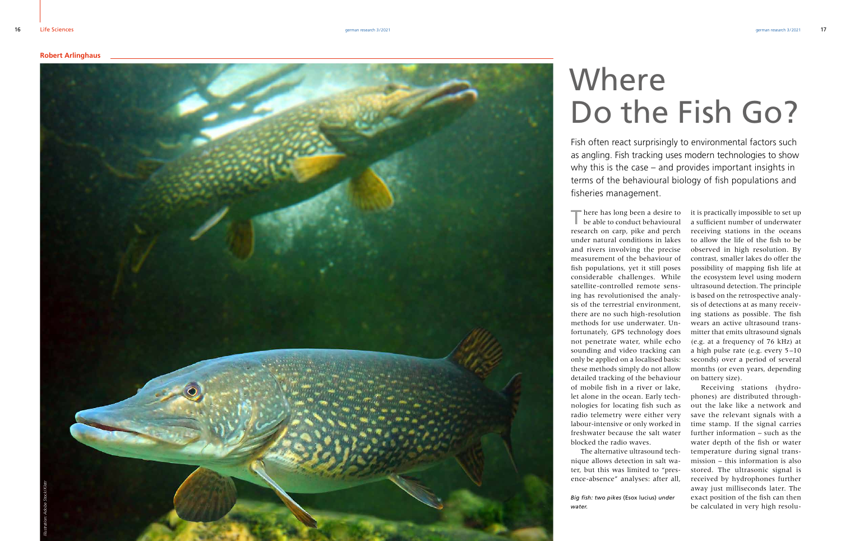Fish often react surprisingly to environmental factors such as angling. Fish tracking uses modern technologies to show why this is the case – and provides important insights in terms of the behavioural biology of fish populations and fisheries management.

## Where Do the Fish Go?

There has long been a desire to be able to conduct behavioural research on carp, pike and perch under natural conditions in lakes and rivers involving the precise measurement of the behaviour of fish populations, yet it still poses considerable challenges. While satellite-controlled remote sens ing has revolutionised the analy sis of the terrestrial environment, there are no such high-resolution methods for use underwater. Un fortunately, GPS technology does not penetrate water, while echo sounding and video tracking can only be applied on a localised basis: these methods simply do not allow detailed tracking of the behaviour of mobile fish in a river or lake, let alone in the ocean. Early tech nologies for locating fish such as radio telemetry were either very labour-intensive or only worked in freshwater because the salt water blocked the radio waves.

The alternative ultrasound tech nique allows detection in salt wa ter, but this was limited to "pres ence-absence" analyses: after all,

*Big fish: two pikes* (Esox lucius) *under water.*

it is practically impossible to set up a sufficient number of underwater receiving stations in the oceans to allow the life of the fish to be observed in high resolution. By contrast, smaller lakes do offer the possibility of mapping fish life at the ecosystem level using modern ultrasound detection. The principle is based on the retrospective analy sis of detections at as many receiv ing stations as possible. The fish wears an active ultrasound trans mitter that emits ultrasound signals (e.g. at a frequency of 76 kHz) at a high pulse rate (e.g. every 5 –10 seconds) over a period of several months (or even years, depending on battery size).

Receiving stations (hydro phones) are distributed through out the lake like a network and save the relevant signals with a time stamp. If the signal carries further information – such as the water depth of the fish or water temperature during signal trans mission – this information is also stored. The ultrasonic signal is received by hydrophones further away just milliseconds later. The exact position of the fish can then be calculated in very high resolu -

## **Robert Arlinghaus**

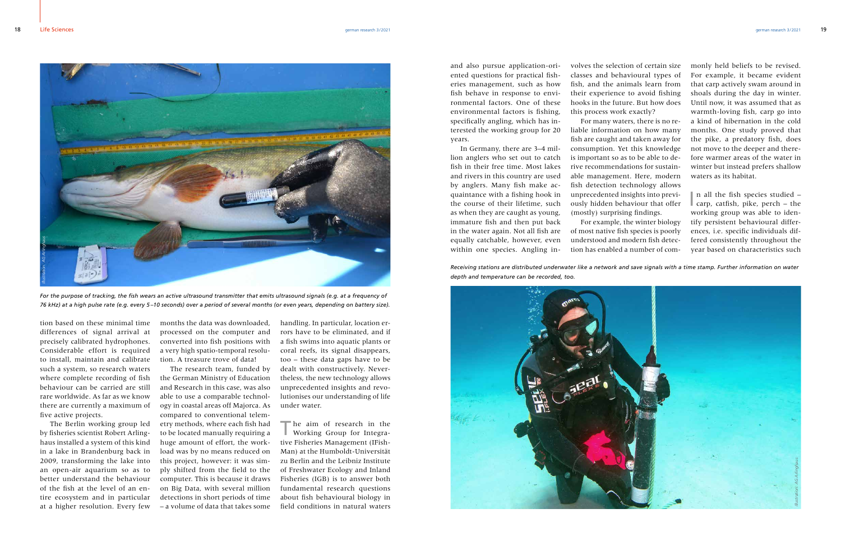and also pursue application-oriented questions for practical fisheries management, such as how fish behave in response to environmental factors. One of these environmental factors is fishing, specifically angling, which has interested the working group for 20 years.

In Germany, there are 3–4 million anglers who set out to catch fish in their free time. Most lakes and rivers in this country are used by anglers. Many fish make acquaintance with a fishing hook in the course of their lifetime, such as when they are caught as young, immature fish and then put back in the water again. Not all fish are equally catchable, however, even within one species. Angling in-

*Receiving stations are distributed underwater like a network and save signals with a time stamp. Further information on water depth and temperature can be recorded, too.*



volves the selection of certain size classes and behavioural types of fish, and the animals learn from their experience to avoid fishing hooks in the future. But how does this process work exactly?

For many waters, there is no reliable information on how many fish are caught and taken away for consumption. Yet this knowledge is important so as to be able to derive recommendations for sustainable management. Here, modern fish detection technology allows unprecedented insights into previously hidden behaviour that offer (mostly) surprising findings.

The aim of research in the Working Group for Integrative Fisheries Management (IFish-Man) at the Humboldt-Universität zu Berlin and the Leibniz Institute of Freshwater Ecology and Inland Fisheries (IGB) is to answer both fundamental research questions about fish behavioural biology in field conditions in natural waters

For example, the winter biology of most native fish species is poorly understood and modern fish detection has enabled a number of commonly held beliefs to be revised. For example, it became evident that carp actively swam around in shoals during the day in winter. Until now, it was assumed that as warmth-loving fish, carp go into a kind of hibernation in the cold months. One study proved that the pike, a predatory fish, does not move to the deeper and therefore warmer areas of the water in winter but instead prefers shallow waters as its habitat.

I n all the fish species studied – carp, catfish, pike, perch – the working group was able to identify persistent behavioural differences, i.e. specific individuals differed consistently throughout the year based on characteristics such



For the purpose of tracking, the fish wears an active ultrasound transmitter that emits ultrasound signals (e.g. at a frequency of

handling. In particular, location errors have to be eliminated, and if a fish swims into aquatic plants or coral reefs, its signal disappears, too – these data gaps have to be dealt with constructively. Nevertheless, the new technology allows unprecedented insights and revolutionises our understanding of life under water.

tion based on these minimal time differences of signal arrival at precisely calibrated hydrophones. Considerable effort is required to install, maintain and calibrate such a system, so research waters where complete recording of fish behaviour can be carried are still rare worldwide. As far as we know there are currently a maximum of five active projects.

The Berlin working group led by fisheries scientist Robert Arlinghaus installed a system of this kind in a lake in Brandenburg back in 2009, transforming the lake into an open-air aquarium so as to better understand the behaviour of the fish at the level of an entire ecosystem and in particular at a higher resolution. Every few months the data was downloaded, processed on the computer and converted into fish positions with a very high spatio-temporal resolution. A treasure trove of data!

The research team, funded by the German Ministry of Education and Research in this case, was also able to use a comparable technology in coastal areas off Majorca. As compared to conventional telemetry methods, where each fish had to be located manually requiring a huge amount of effort, the workload was by no means reduced on this project, however: it was simply shifted from the field to the computer. This is because it draws on Big Data, with several million detections in short periods of time – a volume of data that takes some